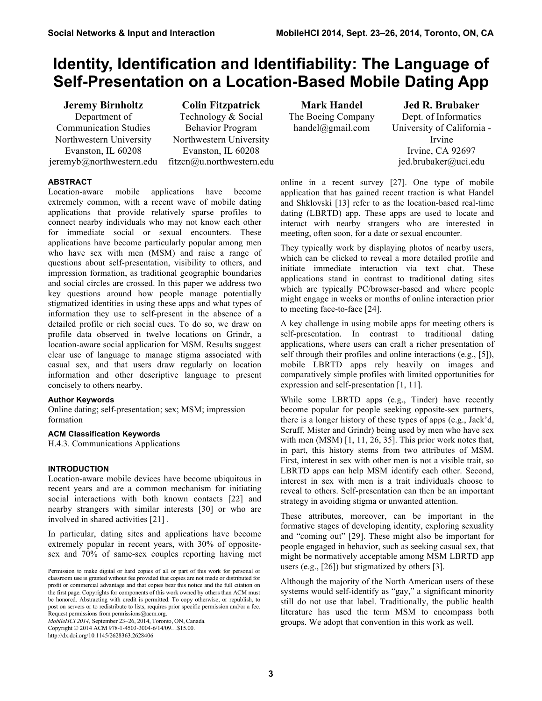# **Identity, Identification and Identifiability: The Language of Self-Presentation on a Location-Based Mobile Dating App**

**Jeremy Birnholtz**  Department of Communication Studies Northwestern University Evanston, IL 60208 jeremyb@northwestern.edu

**Colin Fitzpatrick** Technology & Social Behavior Program Northwestern University Evanston, IL 60208 fitzcn@u.northwestern.edu

**Mark Handel** The Boeing Company handel@gmail.com

**Jed R. Brubaker** Dept. of Informatics University of California - Irvine Irvine, CA 92697 jed.brubaker@uci.edu

# **ABSTRACT**

Location-aware mobile applications have become extremely common, with a recent wave of mobile dating applications that provide relatively sparse profiles to connect nearby individuals who may not know each other for immediate social or sexual encounters. These applications have become particularly popular among men who have sex with men (MSM) and raise a range of questions about self-presentation, visibility to others, and impression formation, as traditional geographic boundaries and social circles are crossed. In this paper we address two key questions around how people manage potentially stigmatized identities in using these apps and what types of information they use to self-present in the absence of a detailed profile or rich social cues. To do so, we draw on profile data observed in twelve locations on Grindr, a location-aware social application for MSM. Results suggest clear use of language to manage stigma associated with casual sex, and that users draw regularly on location information and other descriptive language to present concisely to others nearby.

# **Author Keywords**

Online dating; self-presentation; sex; MSM; impression formation

# **ACM Classification Keywords**

H.4.3. Communications Applications

# **INTRODUCTION**

Location-aware mobile devices have become ubiquitous in recent years and are a common mechanism for initiating social interactions with both known contacts [22] and nearby strangers with similar interests [30] or who are involved in shared activities [21] .

In particular, dating sites and applications have become extremely popular in recent years, with 30% of oppositesex and 70% of same-sex couples reporting having met

*MobileHCI 2014,* September 23–26, 2014, Toronto, ON, Canada. Copyright © 2014 ACM 978-1-4503-3004-6/14/09…\$15.00. http://dx.doi.org/10.1145/2628363.2628406

online in a recent survey [27]. One type of mobile application that has gained recent traction is what Handel and Shklovski [13] refer to as the location-based real-time dating (LBRTD) app. These apps are used to locate and interact with nearby strangers who are interested in meeting, often soon, for a date or sexual encounter.

They typically work by displaying photos of nearby users, which can be clicked to reveal a more detailed profile and initiate immediate interaction via text chat. These applications stand in contrast to traditional dating sites which are typically PC/browser-based and where people might engage in weeks or months of online interaction prior to meeting face-to-face [24].

A key challenge in using mobile apps for meeting others is self-presentation. In contrast to traditional dating applications, where users can craft a richer presentation of self through their profiles and online interactions (e.g., [5]), mobile LBRTD apps rely heavily on images and comparatively simple profiles with limited opportunities for expression and self-presentation [1, 11].

While some LBRTD apps (e.g., Tinder) have recently become popular for people seeking opposite-sex partners, there is a longer history of these types of apps (e.g., Jack'd, Scruff, Mister and Grindr) being used by men who have sex with men (MSM) [1, 11, 26, 35]. This prior work notes that, in part, this history stems from two attributes of MSM. First, interest in sex with other men is not a visible trait, so LBRTD apps can help MSM identify each other. Second, interest in sex with men is a trait individuals choose to reveal to others. Self-presentation can then be an important strategy in avoiding stigma or unwanted attention.

These attributes, moreover, can be important in the formative stages of developing identity, exploring sexuality and "coming out" [29]. These might also be important for people engaged in behavior, such as seeking casual sex, that might be normatively acceptable among MSM LBRTD app users (e.g., [26]) but stigmatized by others [3].

Although the majority of the North American users of these systems would self-identify as "gay," a significant minority still do not use that label. Traditionally, the public health literature has used the term MSM to encompass both groups. We adopt that convention in this work as well.

Permission to make digital or hard copies of all or part of this work for personal or classroom use is granted without fee provided that copies are not made or distributed for profit or commercial advantage and that copies bear this notice and the full citation on the first page. Copyrights for components of this work owned by others than ACM must be honored. Abstracting with credit is permitted. To copy otherwise, or republish, to post on servers or to redistribute to lists, requires prior specific permission and/or a fee. Request permissions from permissions@acm.org.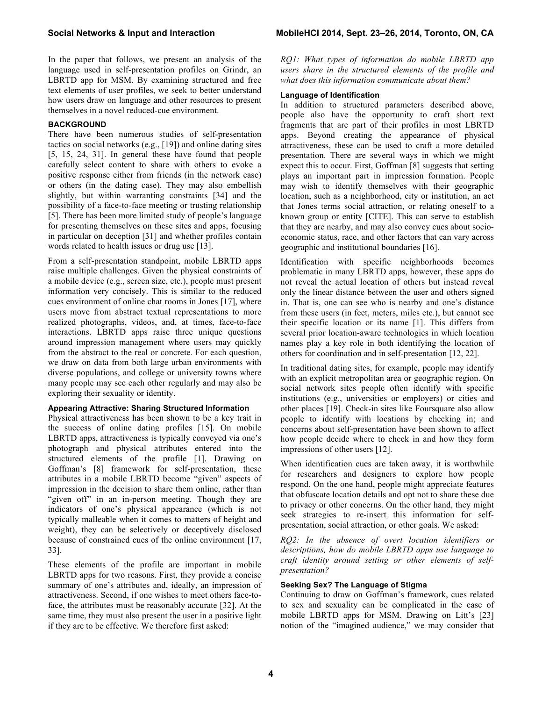In the paper that follows, we present an analysis of the language used in self-presentation profiles on Grindr, an LBRTD app for MSM. By examining structured and free text elements of user profiles, we seek to better understand how users draw on language and other resources to present themselves in a novel reduced-cue environment.

### **BACKGROUND**

There have been numerous studies of self-presentation tactics on social networks (e.g., [19]) and online dating sites [5, 15, 24, 31]. In general these have found that people carefully select content to share with others to evoke a positive response either from friends (in the network case) or others (in the dating case). They may also embellish slightly, but within warranting constraints [34] and the possibility of a face-to-face meeting or trusting relationship [5]. There has been more limited study of people's language for presenting themselves on these sites and apps, focusing in particular on deception [31] and whether profiles contain words related to health issues or drug use [13].

From a self-presentation standpoint, mobile LBRTD apps raise multiple challenges. Given the physical constraints of a mobile device (e.g., screen size, etc.), people must present information very concisely. This is similar to the reduced cues environment of online chat rooms in Jones [17], where users move from abstract textual representations to more realized photographs, videos, and, at times, face-to-face interactions. LBRTD apps raise three unique questions around impression management where users may quickly from the abstract to the real or concrete. For each question, we draw on data from both large urban environments with diverse populations, and college or university towns where many people may see each other regularly and may also be exploring their sexuality or identity.

# **Appearing Attractive: Sharing Structured Information**

Physical attractiveness has been shown to be a key trait in the success of online dating profiles [15]. On mobile LBRTD apps, attractiveness is typically conveyed via one's photograph and physical attributes entered into the structured elements of the profile [1]. Drawing on Goffman's [8] framework for self-presentation, these attributes in a mobile LBRTD become "given" aspects of impression in the decision to share them online, rather than "given off" in an in-person meeting. Though they are indicators of one's physical appearance (which is not typically malleable when it comes to matters of height and weight), they can be selectively or deceptively disclosed because of constrained cues of the online environment [17, 33].

These elements of the profile are important in mobile LBRTD apps for two reasons. First, they provide a concise summary of one's attributes and, ideally, an impression of attractiveness. Second, if one wishes to meet others face-toface, the attributes must be reasonably accurate [32]. At the same time, they must also present the user in a positive light if they are to be effective. We therefore first asked:

*RQ1: What types of information do mobile LBRTD app users share in the structured elements of the profile and what does this information communicate about them?*

# **Language of Identification**

In addition to structured parameters described above, people also have the opportunity to craft short text fragments that are part of their profiles in most LBRTD apps. Beyond creating the appearance of physical attractiveness, these can be used to craft a more detailed presentation. There are several ways in which we might expect this to occur. First, Goffman [8] suggests that setting plays an important part in impression formation. People may wish to identify themselves with their geographic location, such as a neighborhood, city or institution, an act that Jones terms social attraction, or relating oneself to a known group or entity [CITE]. This can serve to establish that they are nearby, and may also convey cues about socioeconomic status, race, and other factors that can vary across geographic and institutional boundaries [16].

Identification with specific neighborhoods becomes problematic in many LBRTD apps, however, these apps do not reveal the actual location of others but instead reveal only the linear distance between the user and others signed in. That is, one can see who is nearby and one's distance from these users (in feet, meters, miles etc.), but cannot see their specific location or its name [1]. This differs from several prior location-aware technologies in which location names play a key role in both identifying the location of others for coordination and in self-presentation [12, 22].

In traditional dating sites, for example, people may identify with an explicit metropolitan area or geographic region. On social network sites people often identify with specific institutions (e.g., universities or employers) or cities and other places [19]. Check-in sites like Foursquare also allow people to identify with locations by checking in; and concerns about self-presentation have been shown to affect how people decide where to check in and how they form impressions of other users [12].

When identification cues are taken away, it is worthwhile for researchers and designers to explore how people respond. On the one hand, people might appreciate features that obfuscate location details and opt not to share these due to privacy or other concerns. On the other hand, they might seek strategies to re-insert this information for selfpresentation, social attraction, or other goals. We asked:

*RQ2: In the absence of overt location identifiers or descriptions, how do mobile LBRTD apps use language to craft identity around setting or other elements of selfpresentation?*

### **Seeking Sex? The Language of Stigma**

Continuing to draw on Goffman's framework, cues related to sex and sexuality can be complicated in the case of mobile LBRTD apps for MSM. Drawing on Litt's [23] notion of the "imagined audience," we may consider that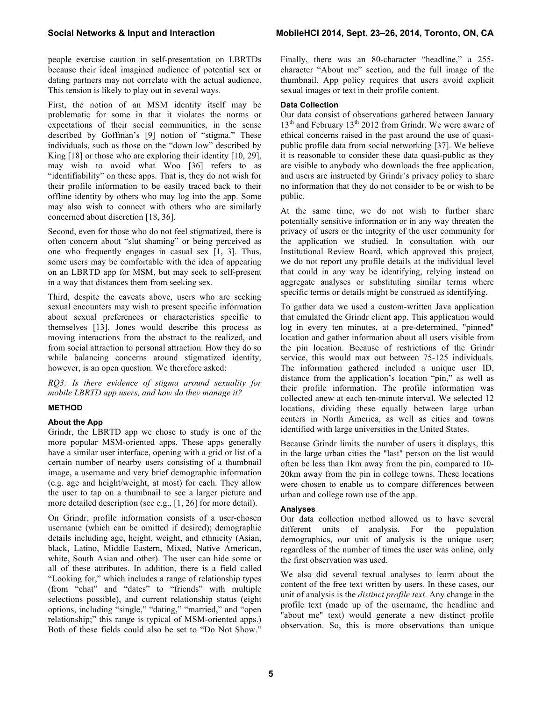people exercise caution in self-presentation on LBRTDs because their ideal imagined audience of potential sex or dating partners may not correlate with the actual audience. This tension is likely to play out in several ways.

First, the notion of an MSM identity itself may be problematic for some in that it violates the norms or expectations of their social communities, in the sense described by Goffman's [9] notion of "stigma." These individuals, such as those on the "down low" described by King [18] or those who are exploring their identity [10, 29], may wish to avoid what Woo [36] refers to as "identifiability" on these apps. That is, they do not wish for their profile information to be easily traced back to their offline identity by others who may log into the app. Some may also wish to connect with others who are similarly concerned about discretion [18, 36].

Second, even for those who do not feel stigmatized, there is often concern about "slut shaming" or being perceived as one who frequently engages in casual sex [1, 3]. Thus, some users may be comfortable with the idea of appearing on an LBRTD app for MSM, but may seek to self-present in a way that distances them from seeking sex.

Third, despite the caveats above, users who are seeking sexual encounters may wish to present specific information about sexual preferences or characteristics specific to themselves [13]. Jones would describe this process as moving interactions from the abstract to the realized, and from social attraction to personal attraction. How they do so while balancing concerns around stigmatized identity, however, is an open question. We therefore asked:

*RQ3: Is there evidence of stigma around sexuality for mobile LBRTD app users, and how do they manage it?* 

### **METHOD**

### **About the App**

Grindr, the LBRTD app we chose to study is one of the more popular MSM-oriented apps. These apps generally have a similar user interface, opening with a grid or list of a certain number of nearby users consisting of a thumbnail image, a username and very brief demographic information (e.g. age and height/weight, at most) for each. They allow the user to tap on a thumbnail to see a larger picture and more detailed description (see e.g., [1, 26] for more detail).

On Grindr, profile information consists of a user-chosen username (which can be omitted if desired); demographic details including age, height, weight, and ethnicity (Asian, black, Latino, Middle Eastern, Mixed, Native American, white, South Asian and other). The user can hide some or all of these attributes. In addition, there is a field called "Looking for," which includes a range of relationship types (from "chat" and "dates" to "friends" with multiple selections possible), and current relationship status (eight options, including "single," "dating," "married," and "open relationship;" this range is typical of MSM-oriented apps.) Both of these fields could also be set to "Do Not Show."

Finally, there was an 80-character "headline," a 255 character "About me" section, and the full image of the thumbnail. App policy requires that users avoid explicit sexual images or text in their profile content.

#### **Data Collection**

Our data consist of observations gathered between January 13<sup>th</sup> and February 13<sup>th</sup> 2012 from Grindr. We were aware of ethical concerns raised in the past around the use of quasipublic profile data from social networking [37]. We believe it is reasonable to consider these data quasi-public as they are visible to anybody who downloads the free application, and users are instructed by Grindr's privacy policy to share no information that they do not consider to be or wish to be public.

At the same time, we do not wish to further share potentially sensitive information or in any way threaten the privacy of users or the integrity of the user community for the application we studied. In consultation with our Institutional Review Board, which approved this project, we do not report any profile details at the individual level that could in any way be identifying, relying instead on aggregate analyses or substituting similar terms where specific terms or details might be construed as identifying.

To gather data we used a custom-written Java application that emulated the Grindr client app. This application would log in every ten minutes, at a pre-determined, "pinned" location and gather information about all users visible from the pin location. Because of restrictions of the Grindr service, this would max out between 75-125 individuals. The information gathered included a unique user ID, distance from the application's location "pin," as well as their profile information. The profile information was collected anew at each ten-minute interval. We selected 12 locations, dividing these equally between large urban centers in North America, as well as cities and towns identified with large universities in the United States.

Because Grindr limits the number of users it displays, this in the large urban cities the "last" person on the list would often be less than 1km away from the pin, compared to 10- 20km away from the pin in college towns. These locations were chosen to enable us to compare differences between urban and college town use of the app.

### **Analyses**

Our data collection method allowed us to have several different units of analysis. For the population demographics, our unit of analysis is the unique user; regardless of the number of times the user was online, only the first observation was used.

We also did several textual analyses to learn about the content of the free text written by users. In these cases, our unit of analysis is the *distinct profile text*. Any change in the profile text (made up of the username, the headline and "about me" text) would generate a new distinct profile observation. So, this is more observations than unique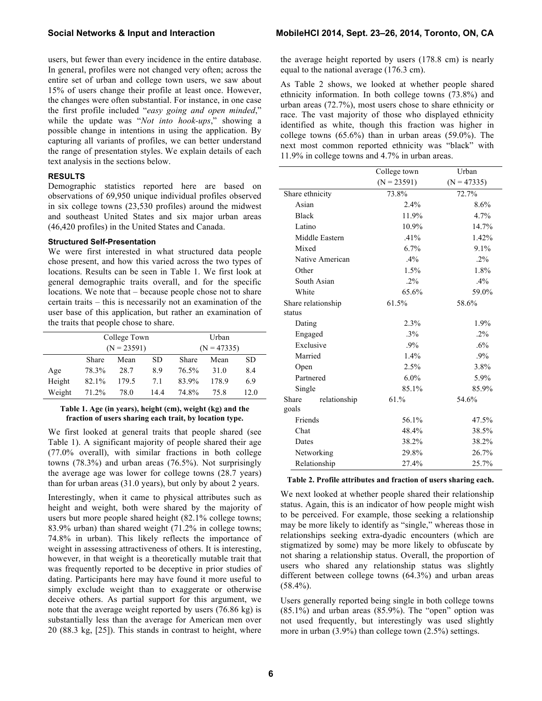users, but fewer than every incidence in the entire database. In general, profiles were not changed very often; across the entire set of urban and college town users, we saw about 15% of users change their profile at least once. However, the changes were often substantial. For instance, in one case the first profile included "*easy going and open minded*," while the update was "*Not into hook-ups*," showing a possible change in intentions in using the application. By capturing all variants of profiles, we can better understand the range of presentation styles. We explain details of each text analysis in the sections below.

# **RESULTS**

Demographic statistics reported here are based on observations of 69,950 unique individual profiles observed in six college towns (23,530 profiles) around the midwest and southeast United States and six major urban areas (46,420 profiles) in the United States and Canada.

#### **Structured Self-Presentation**

We were first interested in what structured data people chose present, and how this varied across the two types of locations. Results can be seen in Table 1. We first look at general demographic traits overall, and for the specific locations. We note that – because people chose not to share certain traits – this is necessarily not an examination of the user base of this application, but rather an examination of the traits that people chose to share.

|        | College Town  |       |      |               | Urban |           |  |
|--------|---------------|-------|------|---------------|-------|-----------|--|
|        | $(N = 23591)$ |       |      | $(N = 47335)$ |       |           |  |
|        | Share         | Mean  | SD.  | Share         | Mean  | <b>SD</b> |  |
| Age    | 78.3%         | 28.7  | 8.9  | 76.5%         | 31.0  | 8.4       |  |
| Height | 82.1%         | 179.5 | 7.1  | 83.9%         | 178.9 | 6.9       |  |
| Weight | 71.2%         | 78.0  | 14.4 | 74 8%         | 75.8  | 12.0      |  |

### **Table 1. Age (in years), height (cm), weight (kg) and the fraction of users sharing each trait, by location type.**

We first looked at general traits that people shared (see Table 1). A significant majority of people shared their age (77.0% overall), with similar fractions in both college towns (78.3%) and urban areas (76.5%). Not surprisingly the average age was lower for college towns (28.7 years) than for urban areas (31.0 years), but only by about 2 years.

Interestingly, when it came to physical attributes such as height and weight, both were shared by the majority of users but more people shared height (82.1% college towns; 83.9% urban) than shared weight (71.2% in college towns; 74.8% in urban). This likely reflects the importance of weight in assessing attractiveness of others. It is interesting, however, in that weight is a theoretically mutable trait that was frequently reported to be deceptive in prior studies of dating. Participants here may have found it more useful to simply exclude weight than to exaggerate or otherwise deceive others. As partial support for this argument, we note that the average weight reported by users (76.86 kg) is substantially less than the average for American men over 20 (88.3 kg, [25]). This stands in contrast to height, where

the average height reported by users (178.8 cm) is nearly equal to the national average (176.3 cm).

As Table 2 shows, we looked at whether people shared ethnicity information. In both college towns (73.8%) and urban areas (72.7%), most users chose to share ethnicity or race. The vast majority of those who displayed ethnicity identified as white, though this fraction was higher in college towns  $(65.6\%)$  than in urban areas  $(59.0\%)$ . The next most common reported ethnicity was "black" with 11.9% in college towns and 4.7% in urban areas.

|                       | College town  | Urban         |  |
|-----------------------|---------------|---------------|--|
|                       | $(N = 23591)$ | $(N = 47335)$ |  |
| Share ethnicity       | 73.8%         | 72.7%         |  |
| Asian                 | 2.4%          | 8.6%          |  |
| <b>Black</b>          | 11.9%         | 4.7%          |  |
| Latino                | 10.9%         | 14.7%         |  |
| Middle Eastern        | .41%          | 1.42%         |  |
| Mixed                 | 6.7%          | 9.1%          |  |
| Native American       | .4%           | $.2\%$        |  |
| Other                 | 1.5%          | 1.8%          |  |
| South Asian           | $.2\%$        | .4%           |  |
| White                 | 65.6%         | 59.0%         |  |
| Share relationship    | 61.5%         | 58.6%         |  |
| status                |               |               |  |
| Dating                | 2.3%          | 1.9%          |  |
| Engaged               | $.3\%$        | $.2\%$        |  |
| Exclusive             | .9%           | .6%           |  |
| Married               | 1.4%          | .9%           |  |
| Open                  | 2.5%          | 3.8%          |  |
| Partnered             | $6.0\%$       | 5.9%          |  |
| Single                | 85.1%         | 85.9%         |  |
| Share<br>relationship | 61.%          | 54.6%         |  |
| goals                 |               |               |  |
| Friends               | 56.1%         | 47.5%         |  |
| Chat                  | 48.4%         | 38.5%         |  |
| Dates                 | 38.2%         | 38.2%         |  |
| Networking            | 29.8%         | 26.7%         |  |
| Relationship          | 27.4%         | 25.7%         |  |

#### **Table 2. Profile attributes and fraction of users sharing each.**

We next looked at whether people shared their relationship status. Again, this is an indicator of how people might wish to be perceived. For example, those seeking a relationship may be more likely to identify as "single," whereas those in relationships seeking extra-dyadic encounters (which are stigmatized by some) may be more likely to obfuscate by not sharing a relationship status. Overall, the proportion of users who shared any relationship status was slightly different between college towns (64.3%) and urban areas  $(58.4\%)$ .

Users generally reported being single in both college towns  $(85.1\%)$  and urban areas  $(85.9\%)$ . The "open" option was not used frequently, but interestingly was used slightly more in urban (3.9%) than college town (2.5%) settings.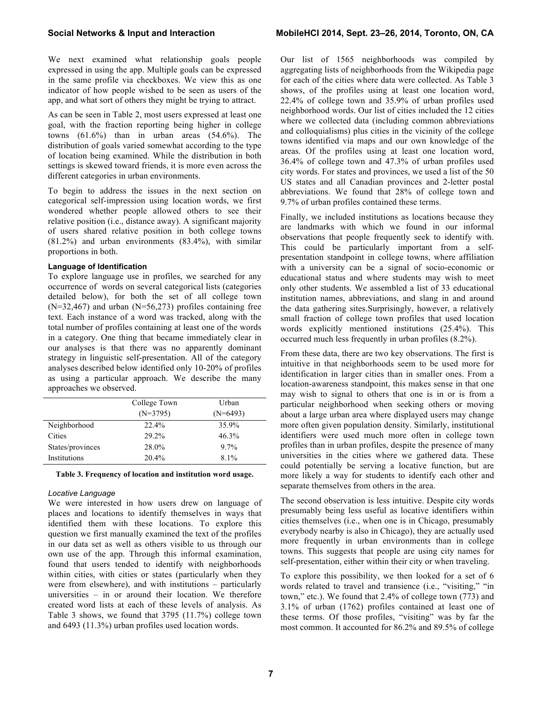We next examined what relationship goals people expressed in using the app. Multiple goals can be expressed in the same profile via checkboxes. We view this as one indicator of how people wished to be seen as users of the app, and what sort of others they might be trying to attract.

As can be seen in Table 2, most users expressed at least one goal, with the fraction reporting being higher in college towns  $(61.6\%)$  than in urban areas  $(54.6\%)$ . The distribution of goals varied somewhat according to the type of location being examined. While the distribution in both settings is skewed toward friends, it is more even across the different categories in urban environments.

To begin to address the issues in the next section on categorical self-impression using location words, we first wondered whether people allowed others to see their relative position (i.e., distance away). A significant majority of users shared relative position in both college towns (81.2%) and urban environments (83.4%), with similar proportions in both.

#### **Language of Identification**

To explore language use in profiles, we searched for any occurrence of words on several categorical lists (categories detailed below), for both the set of all college town (N=32,467) and urban (N=56,273) profiles containing free text. Each instance of a word was tracked, along with the total number of profiles containing at least one of the words in a category. One thing that became immediately clear in our analyses is that there was no apparently dominant strategy in linguistic self-presentation. All of the category analyses described below identified only 10-20% of profiles as using a particular approach. We describe the many approaches we observed.

|                  | College Town | Urban      |
|------------------|--------------|------------|
|                  | $(N=3795)$   | $(N=6493)$ |
| Neighborhood     | 22.4%        | 35.9%      |
| Cities           | 29.2%        | $46.3\%$   |
| States/provinces | 28.0%        | 97%        |
| Institutions     | 20.4%        | $81\%$     |

#### **Table 3. Frequency of location and institution word usage.**

#### *Locative Language*

We were interested in how users drew on language of places and locations to identify themselves in ways that identified them with these locations. To explore this question we first manually examined the text of the profiles in our data set as well as others visible to us through our own use of the app. Through this informal examination, found that users tended to identify with neighborhoods within cities, with cities or states (particularly when they were from elsewhere), and with institutions – particularly universities – in or around their location. We therefore created word lists at each of these levels of analysis. As Table 3 shows, we found that 3795 (11.7%) college town and 6493 (11.3%) urban profiles used location words.

Our list of 1565 neighborhoods was compiled by aggregating lists of neighborhoods from the Wikipedia page for each of the cities where data were collected. As Table 3 shows, of the profiles using at least one location word, 22.4% of college town and 35.9% of urban profiles used neighborhood words. Our list of cities included the 12 cities where we collected data (including common abbreviations and colloquialisms) plus cities in the vicinity of the college towns identified via maps and our own knowledge of the areas. Of the profiles using at least one location word, 36.4% of college town and 47.3% of urban profiles used city words. For states and provinces, we used a list of the 50 US states and all Canadian provinces and 2-letter postal abbreviations. We found that 28% of college town and 9.7% of urban profiles contained these terms.

Finally, we included institutions as locations because they are landmarks with which we found in our informal observations that people frequently seek to identify with. This could be particularly important from a selfpresentation standpoint in college towns, where affiliation with a university can be a signal of socio-economic or educational status and where students may wish to meet only other students. We assembled a list of 33 educational institution names, abbreviations, and slang in and around the data gathering sites.Surprisingly, however, a relatively small fraction of college town profiles that used location words explicitly mentioned institutions (25.4%). This occurred much less frequently in urban profiles (8.2%).

From these data, there are two key observations. The first is intuitive in that neighborhoods seem to be used more for identification in larger cities than in smaller ones. From a location-awareness standpoint, this makes sense in that one may wish to signal to others that one is in or is from a particular neighborhood when seeking others or moving about a large urban area where displayed users may change more often given population density. Similarly, institutional identifiers were used much more often in college town profiles than in urban profiles, despite the presence of many universities in the cities where we gathered data. These could potentially be serving a locative function, but are more likely a way for students to identify each other and separate themselves from others in the area.

The second observation is less intuitive. Despite city words presumably being less useful as locative identifiers within cities themselves (i.e., when one is in Chicago, presumably everybody nearby is also in Chicago), they are actually used more frequently in urban environments than in college towns. This suggests that people are using city names for self-presentation, either within their city or when traveling.

To explore this possibility, we then looked for a set of 6 words related to travel and transience (i.e., "visiting," "in town," etc.). We found that 2.4% of college town (773) and 3.1% of urban (1762) profiles contained at least one of these terms. Of those profiles, "visiting" was by far the most common. It accounted for 86.2% and 89.5% of college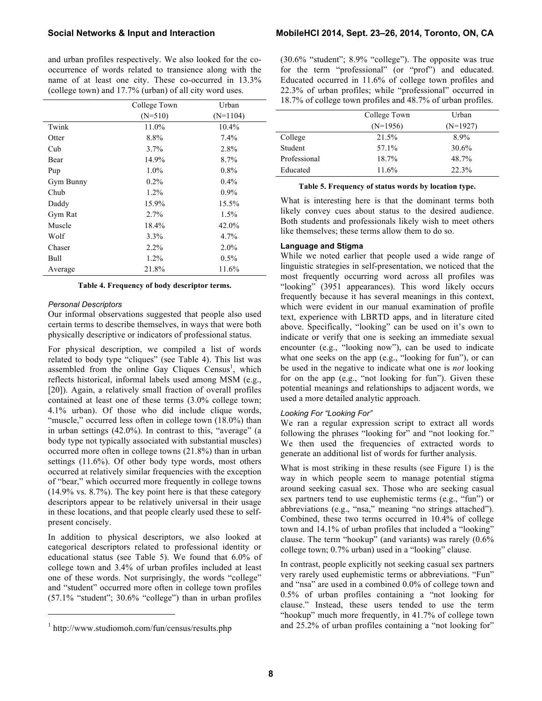and urban profiles respectively. We also looked for the cooccurrence of words related to transience along with the name of at least one city. These co-occurred in 13.3% (college town) and 17.7% (urban) of all city word uses.

|           | College Town | Urban      |
|-----------|--------------|------------|
|           | $(N=510)$    | $(N=1104)$ |
| Twink     | 11.0%        | 10.4%      |
| Otter     | 8.8%         | $7.4\%$    |
| Cub       | $3.7\%$      | 2.8%       |
| Bear      | 14.9%        | 8.7%       |
| Pup       | $1.0\%$      | 0.8%       |
| Gym Bunny | $0.2\%$      | 0.4%       |
| Chub      | 1.2%         | $0.9\%$    |
| Daddy     | 15.9%        | 15.5%      |
| Gym Rat   | $2.7\%$      | $1.5\%$    |
| Muscle    | 18.4%        | 42.0%      |
| Wolf      | $3.3\%$      | 4.7%       |
| Chaser    | $2.2\%$      | $2.0\%$    |
| Bull      | 1.2%         | 0.5%       |
| Average   | 21.8%        | 11.6%      |

#### **Table 4. Frequency of body descriptor terms.**

### *Personal Descriptors*

Our informal observations suggested that people also used certain terms to describe themselves, in ways that were both physically descriptive or indicators of professional status.

For physical description, we compiled a list of words related to body type "cliques" (see Table 4). This list was assembled from the online Gay Cliques Census<sup>1</sup>, which reflects historical, informal labels used among MSM (e.g., [20]). Again, a relatively small fraction of overall profiles contained at least one of these terms (3.0% college town; 4.1% urban). Of those who did include clique words, "muscle," occurred less often in college town (18.0%) than in urban settings (42.0%). In contrast to this, "average" (a body type not typically associated with substantial muscles) occurred more often in college towns (21.8%) than in urban settings (11.6%). Of other body type words, most others occurred at relatively similar frequencies with the exception of "bear," which occurred more frequently in college towns (14.9% vs. 8.7%). The key point here is that these category descriptors appear to be relatively universal in their usage in these locations, and that people clearly used these to selfpresent concisely.

In addition to physical descriptors, we also looked at categorical descriptors related to professional identity or educational status (see Table 5). We found that 6.0% of college town and 3.4% of urban profiles included at least one of these words. Not surprisingly, the words "college" and "student" occurred more often in college town profiles (57.1% "student"; 30.6% "college") than in urban profiles

1

(30.6% "student"; 8.9% "college"). The opposite was true for the term "professional" (or "prof") and educated. Educated occurred in 11.6% of college town profiles and 22.3% of urban profiles; while "professional" occurred in 18.7% of college town profiles and 48.7% of urban profiles.

|              | College Town | Urban      |
|--------------|--------------|------------|
|              | $(N=1956)$   | $(N=1927)$ |
| College      | 21.5%        | $8.9\%$    |
| Student      | 57.1%        | 30.6%      |
| Professional | $18.7\%$     | 48.7%      |
| Educated     | 11.6%        | 22.3%      |

| Table 5. Frequency of status words by location type. |  |  |
|------------------------------------------------------|--|--|
|                                                      |  |  |

What is interesting here is that the dominant terms both likely convey cues about status to the desired audience. Both students and professionals likely wish to meet others like themselves; these terms allow them to do so.

#### **Language and Stigma**

While we noted earlier that people used a wide range of linguistic strategies in self-presentation, we noticed that the most frequently occurring word across all profiles was "looking" (3951 appearances). This word likely occurs frequently because it has several meanings in this context, which were evident in our manual examination of profile text, experience with LBRTD apps, and in literature cited above. Specifically, "looking" can be used on it's own to indicate or verify that one is seeking an immediate sexual encounter (e.g., "looking now"), can be used to indicate what one seeks on the app (e.g., "looking for fun"), or can be used in the negative to indicate what one is *not* looking for on the app (e.g., "not looking for fun"). Given these potential meanings and relationships to adjacent words, we used a more detailed analytic approach.

#### *Looking For "Looking For"*

We ran a regular expression script to extract all words following the phrases "looking for" and "not looking for." We then used the frequencies of extracted words to generate an additional list of words for further analysis.

What is most striking in these results (see Figure 1) is the way in which people seem to manage potential stigma around seeking casual sex. Those who are seeking casual sex partners tend to use euphemistic terms (e.g., "fun") or abbreviations (e.g., "nsa," meaning "no strings attached"). Combined, these two terms occurred in 10.4% of college town and 14.1% of urban profiles that included a "looking" clause. The term "hookup" (and variants) was rarely (0.6% college town; 0.7% urban) used in a "looking" clause.

In contrast, people explicitly not seeking casual sex partners very rarely used euphemistic terms or abbreviations. "Fun" and "nsa" are used in a combined 0.0% of college town and 0.5% of urban profiles containing a "not looking for clause." Instead, these users tended to use the term "hookup" much more frequently, in 41.7% of college town and 25.2% of urban profiles containing a "not looking for"

<sup>1</sup> http://www.studiomoh.com/fun/census/results.php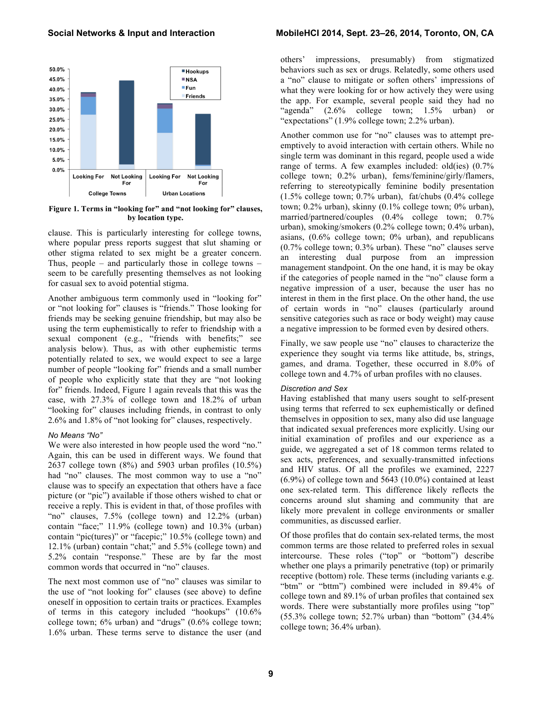

**Figure 1. Terms in "looking for" and "not looking for" clauses, by location type.** 

clause. This is particularly interesting for college towns, where popular press reports suggest that slut shaming or other stigma related to sex might be a greater concern. Thus, people – and particularly those in college towns – seem to be carefully presenting themselves as not looking for casual sex to avoid potential stigma.

Another ambiguous term commonly used in "looking for" or "not looking for" clauses is "friends." Those looking for friends may be seeking genuine friendship, but may also be using the term euphemistically to refer to friendship with a sexual component (e.g., "friends with benefits;" see analysis below). Thus, as with other euphemistic terms potentially related to sex, we would expect to see a large number of people "looking for" friends and a small number of people who explicitly state that they are "not looking for" friends. Indeed, Figure 1 again reveals that this was the case, with 27.3% of college town and 18.2% of urban "looking for" clauses including friends, in contrast to only 2.6% and 1.8% of "not looking for" clauses, respectively.

#### *No Means "No"*

We were also interested in how people used the word "no." Again, this can be used in different ways. We found that 2637 college town (8%) and 5903 urban profiles (10.5%) had "no" clauses. The most common way to use a "no" clause was to specify an expectation that others have a face picture (or "pic") available if those others wished to chat or receive a reply. This is evident in that, of those profiles with "no" clauses, 7.5% (college town) and 12.2% (urban) contain "face;" 11.9% (college town) and 10.3% (urban) contain "pic(tures)" or "facepic;" 10.5% (college town) and 12.1% (urban) contain "chat;" and 5.5% (college town) and 5.2% contain "response." These are by far the most common words that occurred in "no" clauses.

The next most common use of "no" clauses was similar to the use of "not looking for" clauses (see above) to define oneself in opposition to certain traits or practices. Examples of terms in this category included "hookups" (10.6% college town; 6% urban) and "drugs" (0.6% college town; 1.6% urban. These terms serve to distance the user (and

# **Social Networks & Input and Interaction MobileHCI 2014, Sept. 23–26, 2014, Toronto, ON, CA**

others' impressions, presumably) from stigmatized behaviors such as sex or drugs. Relatedly, some others used a "no" clause to mitigate or soften others' impressions of what they were looking for or how actively they were using the app. For example, several people said they had no "agenda" (2.6% college town; 1.5% urban) or "expectations" (1.9% college town; 2.2% urban).

Another common use for "no" clauses was to attempt preemptively to avoid interaction with certain others. While no single term was dominant in this regard, people used a wide range of terms. A few examples included: old(ies)  $(0.7\%$ college town; 0.2% urban), fems/feminine/girly/flamers, referring to stereotypically feminine bodily presentation (1.5% college town; 0.7% urban), fat/chubs (0.4% college town; 0.2% urban), skinny (0.1% college town; 0% urban), married/partnered/couples (0.4% college town; 0.7% urban), smoking/smokers (0.2% college town; 0.4% urban), asians, (0.6% college town; 0% urban), and republicans (0.7% college town; 0.3% urban). These "no" clauses serve an interesting dual purpose from an impression management standpoint. On the one hand, it is may be okay if the categories of people named in the "no" clause form a negative impression of a user, because the user has no interest in them in the first place. On the other hand, the use of certain words in "no" clauses (particularly around sensitive categories such as race or body weight) may cause a negative impression to be formed even by desired others.

Finally, we saw people use "no" clauses to characterize the experience they sought via terms like attitude, bs, strings, games, and drama. Together, these occurred in 8.0% of college town and 4.7% of urban profiles with no clauses.

### *Discretion and Sex*

Having established that many users sought to self-present using terms that referred to sex euphemistically or defined themselves in opposition to sex, many also did use language that indicated sexual preferences more explicitly. Using our initial examination of profiles and our experience as a guide, we aggregated a set of 18 common terms related to sex acts, preferences, and sexually-transmitted infections and HIV status. Of all the profiles we examined, 2227 (6.9%) of college town and 5643 (10.0%) contained at least one sex-related term. This difference likely reflects the concerns around slut shaming and community that are likely more prevalent in college environments or smaller communities, as discussed earlier.

Of those profiles that do contain sex-related terms, the most common terms are those related to preferred roles in sexual intercourse. These roles ("top" or "bottom") describe whether one plays a primarily penetrative (top) or primarily receptive (bottom) role. These terms (including variants e.g. "btm" or "bttm") combined were included in 89.4% of college town and 89.1% of urban profiles that contained sex words. There were substantially more profiles using "top" (55.3% college town; 52.7% urban) than "bottom" (34.4% college town; 36.4% urban).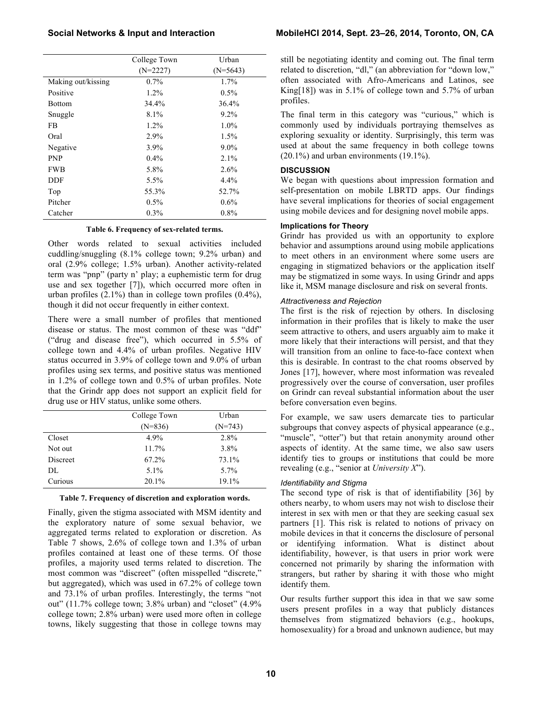|                    | College Town | Urban      |
|--------------------|--------------|------------|
|                    | $(N=2227)$   | $(N=5643)$ |
| Making out/kissing | $0.7\%$      | 1.7%       |
| Positive           | $1.2\%$      | $0.5\%$    |
| <b>Bottom</b>      | 34.4%        | 36.4%      |
| Snuggle            | 8.1%         | $9.2\%$    |
| FB                 | $1.2\%$      | $1.0\%$    |
| Oral               | 2.9%         | $1.5\%$    |
| Negative           | $3.9\%$      | $9.0\%$    |
| <b>PNP</b>         | $0.4\%$      | $2.1\%$    |
| <b>FWB</b>         | 5.8%         | 2.6%       |
| DDF                | 5.5%         | $4.4\%$    |
| Top                | 55.3%        | 52.7%      |
| Pitcher            | $0.5\%$      | $0.6\%$    |
| Catcher            | 0.3%         | 0.8%       |

### **Table 6. Frequency of sex-related terms.**

Other words related to sexual activities included cuddling/snuggling (8.1% college town; 9.2% urban) and oral (2.9% college; 1.5% urban). Another activity-related term was "pnp" (party n' play; a euphemistic term for drug use and sex together [7]), which occurred more often in urban profiles (2.1%) than in college town profiles (0.4%), though it did not occur frequently in either context.

There were a small number of profiles that mentioned disease or status. The most common of these was "ddf" ("drug and disease free"), which occurred in 5.5% of college town and 4.4% of urban profiles. Negative HIV status occurred in 3.9% of college town and 9.0% of urban profiles using sex terms, and positive status was mentioned in 1.2% of college town and 0.5% of urban profiles. Note that the Grindr app does not support an explicit field for drug use or HIV status, unlike some others.

|                 | College Town | Urban     |
|-----------------|--------------|-----------|
|                 | $(N=836)$    | $(N=743)$ |
| Closet          | 4.9%         | 2.8%      |
| Not out         | 11.7%        | 3.8%      |
| <b>Discreet</b> | 67.2%        | 73.1%     |
| DL              | $5.1\%$      | $5.7\%$   |
| Curious         | 20.1%        | 19.1%     |

#### **Table 7. Frequency of discretion and exploration words.**

Finally, given the stigma associated with MSM identity and the exploratory nature of some sexual behavior, we aggregated terms related to exploration or discretion. As Table 7 shows, 2.6% of college town and 1.3% of urban profiles contained at least one of these terms. Of those profiles, a majority used terms related to discretion. The most common was "discreet" (often misspelled "discrete," but aggregated), which was used in 67.2% of college town and 73.1% of urban profiles. Interestingly, the terms "not out" (11.7% college town; 3.8% urban) and "closet" (4.9% college town; 2.8% urban) were used more often in college towns, likely suggesting that those in college towns may

still be negotiating identity and coming out. The final term related to discretion, "dl," (an abbreviation for "down low," often associated with Afro-Americans and Latinos, see King[18]) was in 5.1% of college town and 5.7% of urban profiles.

The final term in this category was "curious," which is commonly used by individuals portraying themselves as exploring sexuality or identity. Surprisingly, this term was used at about the same frequency in both college towns (20.1%) and urban environments (19.1%).

# **DISCUSSION**

We began with questions about impression formation and self-presentation on mobile LBRTD apps. Our findings have several implications for theories of social engagement using mobile devices and for designing novel mobile apps.

# **Implications for Theory**

Grindr has provided us with an opportunity to explore behavior and assumptions around using mobile applications to meet others in an environment where some users are engaging in stigmatized behaviors or the application itself may be stigmatized in some ways. In using Grindr and apps like it, MSM manage disclosure and risk on several fronts.

# *Attractiveness and Rejection*

The first is the risk of rejection by others. In disclosing information in their profiles that is likely to make the user seem attractive to others, and users arguably aim to make it more likely that their interactions will persist, and that they will transition from an online to face-to-face context when this is desirable. In contrast to the chat rooms observed by Jones [17], however, where most information was revealed progressively over the course of conversation, user profiles on Grindr can reveal substantial information about the user before conversation even begins.

For example, we saw users demarcate ties to particular subgroups that convey aspects of physical appearance (e.g., "muscle", "otter") but that retain anonymity around other aspects of identity. At the same time, we also saw users identify ties to groups or institutions that could be more revealing (e.g., "senior at *University X*").

# *Identifiability and Stigma*

The second type of risk is that of identifiability [36] by others nearby, to whom users may not wish to disclose their interest in sex with men or that they are seeking casual sex partners [1]. This risk is related to notions of privacy on mobile devices in that it concerns the disclosure of personal or identifying information. What is distinct about identifiability, however, is that users in prior work were concerned not primarily by sharing the information with strangers, but rather by sharing it with those who might identify them.

Our results further support this idea in that we saw some users present profiles in a way that publicly distances themselves from stigmatized behaviors (e.g., hookups, homosexuality) for a broad and unknown audience, but may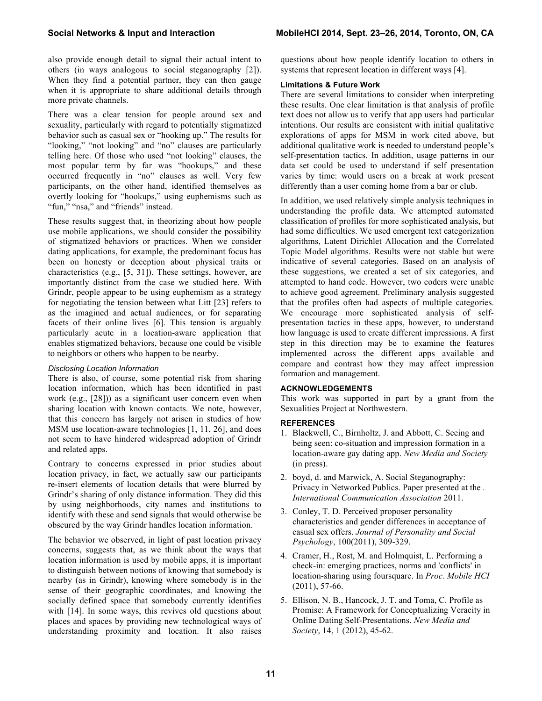also provide enough detail to signal their actual intent to others (in ways analogous to social steganography [2]). When they find a potential partner, they can then gauge when it is appropriate to share additional details through more private channels.

There was a clear tension for people around sex and sexuality, particularly with regard to potentially stigmatized behavior such as casual sex or "hooking up." The results for "looking," "not looking" and "no" clauses are particularly telling here. Of those who used "not looking" clauses, the most popular term by far was "hookups," and these occurred frequently in "no" clauses as well. Very few participants, on the other hand, identified themselves as overtly looking for "hookups," using euphemisms such as "fun," "nsa," and "friends" instead.

These results suggest that, in theorizing about how people use mobile applications, we should consider the possibility of stigmatized behaviors or practices. When we consider dating applications, for example, the predominant focus has been on honesty or deception about physical traits or characteristics (e.g., [5, 31]). These settings, however, are importantly distinct from the case we studied here. With Grindr, people appear to be using euphemism as a strategy for negotiating the tension between what Litt [23] refers to as the imagined and actual audiences, or for separating facets of their online lives [6]. This tension is arguably particularly acute in a location-aware application that enables stigmatized behaviors, because one could be visible to neighbors or others who happen to be nearby.

#### *Disclosing Location Information*

There is also, of course, some potential risk from sharing location information, which has been identified in past work (e.g., [28])) as a significant user concern even when sharing location with known contacts. We note, however, that this concern has largely not arisen in studies of how MSM use location-aware technologies [1, 11, 26], and does not seem to have hindered widespread adoption of Grindr and related apps.

Contrary to concerns expressed in prior studies about location privacy, in fact, we actually saw our participants re-insert elements of location details that were blurred by Grindr's sharing of only distance information. They did this by using neighborhoods, city names and institutions to identify with these and send signals that would otherwise be obscured by the way Grindr handles location information.

The behavior we observed, in light of past location privacy concerns, suggests that, as we think about the ways that location information is used by mobile apps, it is important to distinguish between notions of knowing that somebody is nearby (as in Grindr), knowing where somebody is in the sense of their geographic coordinates, and knowing the socially defined space that somebody currently identifies with [14]. In some ways, this revives old questions about places and spaces by providing new technological ways of understanding proximity and location. It also raises

questions about how people identify location to others in systems that represent location in different ways [4].

### **Limitations & Future Work**

There are several limitations to consider when interpreting these results. One clear limitation is that analysis of profile text does not allow us to verify that app users had particular intentions. Our results are consistent with initial qualitative explorations of apps for MSM in work cited above, but additional qualitative work is needed to understand people's self-presentation tactics. In addition, usage patterns in our data set could be used to understand if self presentation varies by time: would users on a break at work present differently than a user coming home from a bar or club.

In addition, we used relatively simple analysis techniques in understanding the profile data. We attempted automated classification of profiles for more sophisticated analysis, but had some difficulties. We used emergent text categorization algorithms, Latent Dirichlet Allocation and the Correlated Topic Model algorithms. Results were not stable but were indicative of several categories. Based on an analysis of these suggestions, we created a set of six categories, and attempted to hand code. However, two coders were unable to achieve good agreement. Preliminary analysis suggested that the profiles often had aspects of multiple categories. We encourage more sophisticated analysis of selfpresentation tactics in these apps, however, to understand how language is used to create different impressions. A first step in this direction may be to examine the features implemented across the different apps available and compare and contrast how they may affect impression formation and management.

#### **ACKNOWLEDGEMENTS**

This work was supported in part by a grant from the Sexualities Project at Northwestern.

### **REFERENCES**

- 1. Blackwell, C., Birnholtz, J. and Abbott, C. Seeing and being seen: co-situation and impression formation in a location-aware gay dating app. *New Media and Society*  (in press).
- 2. boyd, d. and Marwick, A. Social Steganography: Privacy in Networked Publics. Paper presented at the *. International Communication Association* 2011.
- 3. Conley, T. D. Perceived proposer personality characteristics and gender differences in acceptance of casual sex offers. *Journal of Personality and Social Psychology*, 100(2011), 309-329.
- 4. Cramer, H., Rost, M. and Holmquist, L. Performing a check-in: emerging practices, norms and 'conflicts' in location-sharing using foursquare. In *Proc. Mobile HCI* (2011), 57-66.
- 5. Ellison, N. B., Hancock, J. T. and Toma, C. Profile as Promise: A Framework for Conceptualizing Veracity in Online Dating Self-Presentations. *New Media and Society*, 14, 1 (2012), 45-62.